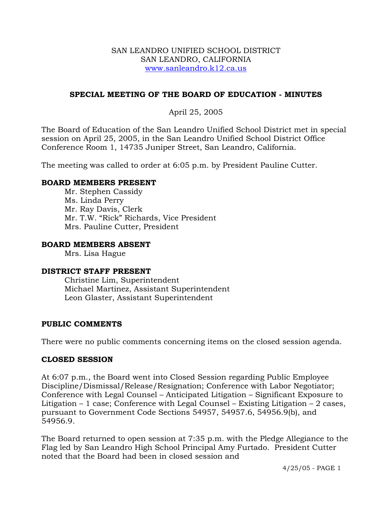#### SAN LEANDRO UNIFIED SCHOOL DISTRICT SAN LEANDRO, CALIFORNIA www.sanleandro.k12.ca.us

### **SPECIAL MEETING OF THE BOARD OF EDUCATION - MINUTES**

## April 25, 2005

The Board of Education of the San Leandro Unified School District met in special session on April 25, 2005, in the San Leandro Unified School District Office Conference Room 1, 14735 Juniper Street, San Leandro, California.

The meeting was called to order at 6:05 p.m. by President Pauline Cutter.

### **BOARD MEMBERS PRESENT**

Mr. Stephen Cassidy Ms. Linda Perry Mr. Ray Davis, Clerk Mr. T.W. "Rick" Richards, Vice President Mrs. Pauline Cutter, President

#### **BOARD MEMBERS ABSENT**

Mrs. Lisa Hague

#### **DISTRICT STAFF PRESENT**

Christine Lim, Superintendent Michael Martinez, Assistant Superintendent Leon Glaster, Assistant Superintendent

#### **PUBLIC COMMENTS**

There were no public comments concerning items on the closed session agenda.

#### **CLOSED SESSION**

At 6:07 p.m., the Board went into Closed Session regarding Public Employee Discipline/Dismissal/Release/Resignation; Conference with Labor Negotiator; Conference with Legal Counsel – Anticipated Litigation – Significant Exposure to Litigation  $-1$  case; Conference with Legal Counsel  $-$  Existing Litigation  $-2$  cases, pursuant to Government Code Sections 54957, 54957.6, 54956.9(b), and 54956.9.

The Board returned to open session at 7:35 p.m. with the Pledge Allegiance to the Flag led by San Leandro High School Principal Amy Furtado. President Cutter noted that the Board had been in closed session and

4/25/05 - PAGE 1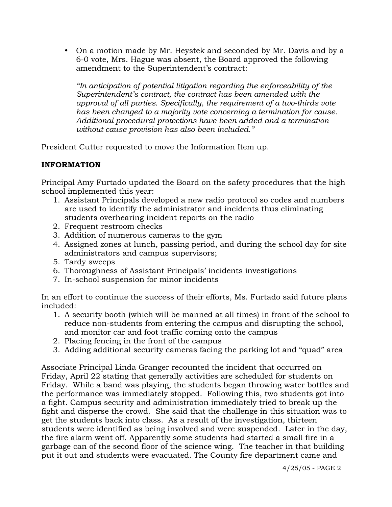• On a motion made by Mr. Heystek and seconded by Mr. Davis and by a 6-0 vote, Mrs. Hague was absent, the Board approved the following amendment to the Superintendent's contract:

*"In anticipation of potential litigation regarding the enforceability of the Superintendent's contract, the contract has been amended with the approval of all parties. Specifically, the requirement of a two-thirds vote has been changed to a majority vote concerning a termination for cause. Additional procedural protections have been added and a termination without cause provision has also been included."* 

President Cutter requested to move the Information Item up.

# **INFORMATION**

Principal Amy Furtado updated the Board on the safety procedures that the high school implemented this year:

- 1. Assistant Principals developed a new radio protocol so codes and numbers are used to identify the administrator and incidents thus eliminating students overhearing incident reports on the radio
- 2. Frequent restroom checks
- 3. Addition of numerous cameras to the gym
- 4. Assigned zones at lunch, passing period, and during the school day for site administrators and campus supervisors;
- 5. Tardy sweeps
- 6. Thoroughness of Assistant Principals' incidents investigations
- 7. In-school suspension for minor incidents

In an effort to continue the success of their efforts, Ms. Furtado said future plans included:

- 1. A security booth (which will be manned at all times) in front of the school to reduce non-students from entering the campus and disrupting the school, and monitor car and foot traffic coming onto the campus
- 2. Placing fencing in the front of the campus
- 3. Adding additional security cameras facing the parking lot and "quad" area

Associate Principal Linda Granger recounted the incident that occurred on Friday, April 22 stating that generally activities are scheduled for students on Friday. While a band was playing, the students began throwing water bottles and the performance was immediately stopped. Following this, two students got into a fight. Campus security and administration immediately tried to break up the fight and disperse the crowd. She said that the challenge in this situation was to get the students back into class. As a result of the investigation, thirteen students were identified as being involved and were suspended. Later in the day, the fire alarm went off. Apparently some students had started a small fire in a garbage can of the second floor of the science wing. The teacher in that building put it out and students were evacuated. The County fire department came and

4/25/05 - PAGE 2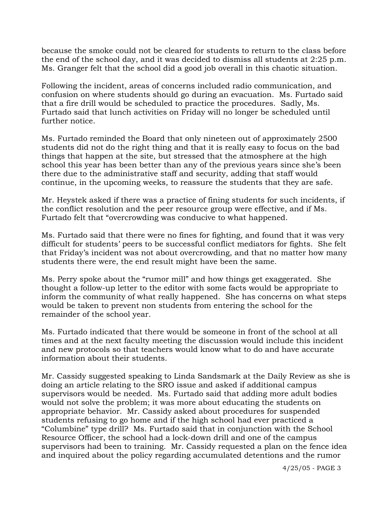because the smoke could not be cleared for students to return to the class before the end of the school day, and it was decided to dismiss all students at 2:25 p.m. Ms. Granger felt that the school did a good job overall in this chaotic situation.

Following the incident, areas of concerns included radio communication, and confusion on where students should go during an evacuation. Ms. Furtado said that a fire drill would be scheduled to practice the procedures. Sadly, Ms. Furtado said that lunch activities on Friday will no longer be scheduled until further notice.

Ms. Furtado reminded the Board that only nineteen out of approximately 2500 students did not do the right thing and that it is really easy to focus on the bad things that happen at the site, but stressed that the atmosphere at the high school this year has been better than any of the previous years since she's been there due to the administrative staff and security, adding that staff would continue, in the upcoming weeks, to reassure the students that they are safe.

Mr. Heystek asked if there was a practice of fining students for such incidents, if the conflict resolution and the peer resource group were effective, and if Ms. Furtado felt that "overcrowding was conducive to what happened.

Ms. Furtado said that there were no fines for fighting, and found that it was very difficult for students' peers to be successful conflict mediators for fights. She felt that Friday's incident was not about overcrowding, and that no matter how many students there were, the end result might have been the same.

Ms. Perry spoke about the "rumor mill" and how things get exaggerated. She thought a follow-up letter to the editor with some facts would be appropriate to inform the community of what really happened. She has concerns on what steps would be taken to prevent non students from entering the school for the remainder of the school year.

Ms. Furtado indicated that there would be someone in front of the school at all times and at the next faculty meeting the discussion would include this incident and new protocols so that teachers would know what to do and have accurate information about their students.

Mr. Cassidy suggested speaking to Linda Sandsmark at the Daily Review as she is doing an article relating to the SRO issue and asked if additional campus supervisors would be needed. Ms. Furtado said that adding more adult bodies would not solve the problem; it was more about educating the students on appropriate behavior. Mr. Cassidy asked about procedures for suspended students refusing to go home and if the high school had ever practiced a "Columbine" type drill? Ms. Furtado said that in conjunction with the School Resource Officer, the school had a lock-down drill and one of the campus supervisors had been to training. Mr. Cassidy requested a plan on the fence idea and inquired about the policy regarding accumulated detentions and the rumor

4/25/05 - PAGE 3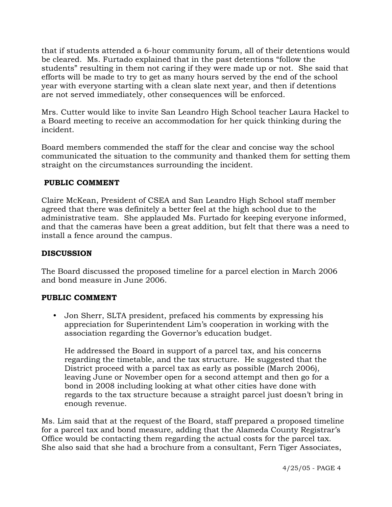that if students attended a 6-hour community forum, all of their detentions would be cleared. Ms. Furtado explained that in the past detentions "follow the students" resulting in them not caring if they were made up or not. She said that efforts will be made to try to get as many hours served by the end of the school year with everyone starting with a clean slate next year, and then if detentions are not served immediately, other consequences will be enforced.

Mrs. Cutter would like to invite San Leandro High School teacher Laura Hackel to a Board meeting to receive an accommodation for her quick thinking during the incident.

Board members commended the staff for the clear and concise way the school communicated the situation to the community and thanked them for setting them straight on the circumstances surrounding the incident.

## **PUBLIC COMMENT**

Claire McKean, President of CSEA and San Leandro High School staff member agreed that there was definitely a better feel at the high school due to the administrative team. She applauded Ms. Furtado for keeping everyone informed, and that the cameras have been a great addition, but felt that there was a need to install a fence around the campus.

## **DISCUSSION**

The Board discussed the proposed timeline for a parcel election in March 2006 and bond measure in June 2006.

## **PUBLIC COMMENT**

• Jon Sherr, SLTA president, prefaced his comments by expressing his appreciation for Superintendent Lim's cooperation in working with the association regarding the Governor's education budget.

 He addressed the Board in support of a parcel tax, and his concerns regarding the timetable, and the tax structure. He suggested that the District proceed with a parcel tax as early as possible (March 2006), leaving June or November open for a second attempt and then go for a bond in 2008 including looking at what other cities have done with regards to the tax structure because a straight parcel just doesn't bring in enough revenue.

Ms. Lim said that at the request of the Board, staff prepared a proposed timeline for a parcel tax and bond measure, adding that the Alameda County Registrar's Office would be contacting them regarding the actual costs for the parcel tax. She also said that she had a brochure from a consultant, Fern Tiger Associates,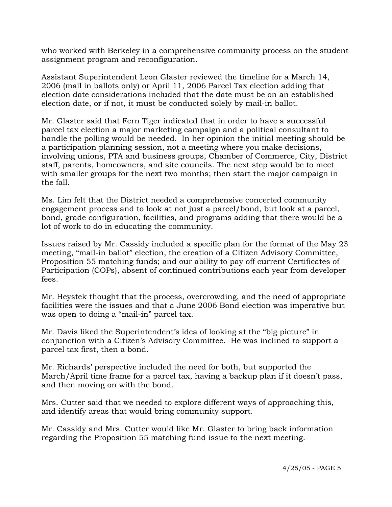who worked with Berkeley in a comprehensive community process on the student assignment program and reconfiguration.

Assistant Superintendent Leon Glaster reviewed the timeline for a March 14, 2006 (mail in ballots only) or April 11, 2006 Parcel Tax election adding that election date considerations included that the date must be on an established election date, or if not, it must be conducted solely by mail-in ballot.

Mr. Glaster said that Fern Tiger indicated that in order to have a successful parcel tax election a major marketing campaign and a political consultant to handle the polling would be needed. In her opinion the initial meeting should be a participation planning session, not a meeting where you make decisions, involving unions, PTA and business groups, Chamber of Commerce, City, District staff, parents, homeowners, and site councils. The next step would be to meet with smaller groups for the next two months; then start the major campaign in the fall.

Ms. Lim felt that the District needed a comprehensive concerted community engagement process and to look at not just a parcel/bond, but look at a parcel, bond, grade configuration, facilities, and programs adding that there would be a lot of work to do in educating the community.

Issues raised by Mr. Cassidy included a specific plan for the format of the May 23 meeting, "mail-in ballot" election, the creation of a Citizen Advisory Committee, Proposition 55 matching funds; and our ability to pay off current Certificates of Participation (COPs), absent of continued contributions each year from developer fees.

Mr. Heystek thought that the process, overcrowding, and the need of appropriate facilities were the issues and that a June 2006 Bond election was imperative but was open to doing a "mail-in" parcel tax.

Mr. Davis liked the Superintendent's idea of looking at the "big picture" in conjunction with a Citizen's Advisory Committee. He was inclined to support a parcel tax first, then a bond.

Mr. Richards' perspective included the need for both, but supported the March/April time frame for a parcel tax, having a backup plan if it doesn't pass, and then moving on with the bond.

Mrs. Cutter said that we needed to explore different ways of approaching this, and identify areas that would bring community support.

Mr. Cassidy and Mrs. Cutter would like Mr. Glaster to bring back information regarding the Proposition 55 matching fund issue to the next meeting.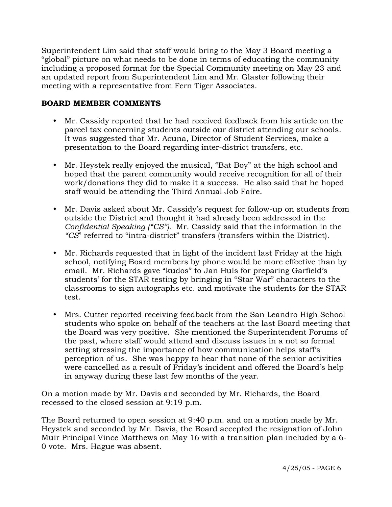Superintendent Lim said that staff would bring to the May 3 Board meeting a "global" picture on what needs to be done in terms of educating the community including a proposed format for the Special Community meeting on May 23 and an updated report from Superintendent Lim and Mr. Glaster following their meeting with a representative from Fern Tiger Associates.

## **BOARD MEMBER COMMENTS**

- Mr. Cassidy reported that he had received feedback from his article on the parcel tax concerning students outside our district attending our schools. It was suggested that Mr. Acuna, Director of Student Services, make a presentation to the Board regarding inter-district transfers, etc.
- Mr. Heystek really enjoyed the musical, "Bat Boy" at the high school and hoped that the parent community would receive recognition for all of their work/donations they did to make it a success. He also said that he hoped staff would be attending the Third Annual Job Faire.
- Mr. Davis asked about Mr. Cassidy's request for follow-up on students from outside the District and thought it had already been addressed in the *Confidential Speaking ("CS").* Mr. Cassidy said that the information in the *"CS*" referred to "intra-district" transfers (transfers within the District).
- Mr. Richards requested that in light of the incident last Friday at the high school, notifying Board members by phone would be more effective than by email. Mr. Richards gave "kudos" to Jan Huls for preparing Garfield's students' for the STAR testing by bringing in "Star War" characters to the classrooms to sign autographs etc. and motivate the students for the STAR test.
- Mrs. Cutter reported receiving feedback from the San Leandro High School students who spoke on behalf of the teachers at the last Board meeting that the Board was very positive. She mentioned the Superintendent Forums of the past, where staff would attend and discuss issues in a not so formal setting stressing the importance of how communication helps staff's perception of us. She was happy to hear that none of the senior activities were cancelled as a result of Friday's incident and offered the Board's help in anyway during these last few months of the year.

On a motion made by Mr. Davis and seconded by Mr. Richards, the Board recessed to the closed session at 9:19 p.m.

The Board returned to open session at 9:40 p.m. and on a motion made by Mr. Heystek and seconded by Mr. Davis, the Board accepted the resignation of John Muir Principal Vince Matthews on May 16 with a transition plan included by a 6- 0 vote. Mrs. Hague was absent.